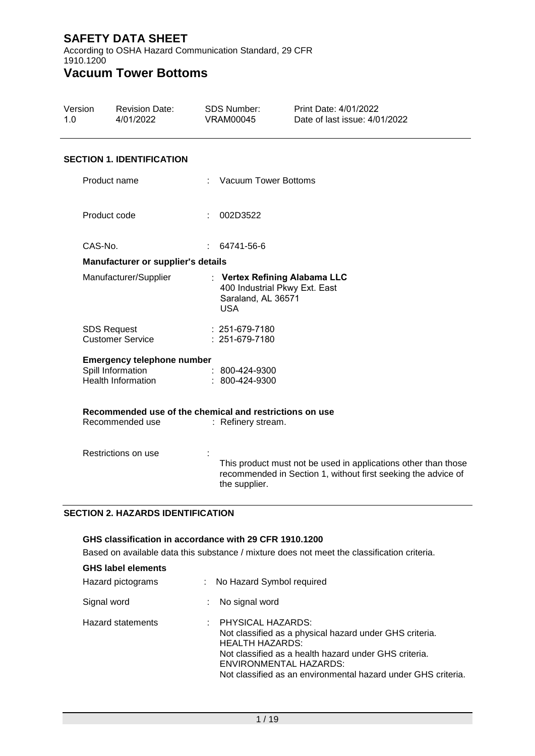According to OSHA Hazard Communication Standard, 29 CFR 1910.1200

# **Vacuum Tower Bottoms**

| Version<br>1.0 |                                                                            | <b>Revision Date:</b><br>4/01/2022                                                  | <b>SDS Number:</b><br><b>VRAM00045</b> |                                                                                                    | Print Date: 4/01/2022<br>Date of last issue: 4/01/2022                                                                          |  |
|----------------|----------------------------------------------------------------------------|-------------------------------------------------------------------------------------|----------------------------------------|----------------------------------------------------------------------------------------------------|---------------------------------------------------------------------------------------------------------------------------------|--|
|                |                                                                            | <b>SECTION 1. IDENTIFICATION</b>                                                    |                                        |                                                                                                    |                                                                                                                                 |  |
|                | Product name                                                               |                                                                                     |                                        | : Vacuum Tower Bottoms                                                                             |                                                                                                                                 |  |
|                | Product code                                                               |                                                                                     |                                        | : 002D3522                                                                                         |                                                                                                                                 |  |
|                | CAS-No.                                                                    |                                                                                     | t.                                     | 64741-56-6                                                                                         |                                                                                                                                 |  |
|                |                                                                            | Manufacturer or supplier's details                                                  |                                        |                                                                                                    |                                                                                                                                 |  |
|                | Manufacturer/Supplier                                                      |                                                                                     |                                        | : Vertex Refining Alabama LLC<br>400 Industrial Pkwy Ext. East<br>Saraland, AL 36571<br><b>USA</b> |                                                                                                                                 |  |
|                | <b>SDS Request</b>                                                         | <b>Customer Service</b>                                                             |                                        | $: 251-679-7180$<br>: 251-679-7180                                                                 |                                                                                                                                 |  |
|                |                                                                            | <b>Emergency telephone number</b><br>Spill Information<br><b>Health Information</b> |                                        | $: 800 - 424 - 9300$<br>: 800-424-9300                                                             |                                                                                                                                 |  |
|                | Recommended use of the chemical and restrictions on use<br>Recommended use |                                                                                     |                                        | : Refinery stream.                                                                                 |                                                                                                                                 |  |
|                | Restrictions on use                                                        |                                                                                     |                                        | the supplier.                                                                                      | This product must not be used in applications other than those<br>recommended in Section 1, without first seeking the advice of |  |

### **SECTION 2. HAZARDS IDENTIFICATION**

| GHS classification in accordance with 29 CFR 1910.1200 |                                                                                             |                                                                                                                                                                                                                                                                  |  |  |  |  |  |
|--------------------------------------------------------|---------------------------------------------------------------------------------------------|------------------------------------------------------------------------------------------------------------------------------------------------------------------------------------------------------------------------------------------------------------------|--|--|--|--|--|
|                                                        | Based on available data this substance / mixture does not meet the classification criteria. |                                                                                                                                                                                                                                                                  |  |  |  |  |  |
| <b>GHS label elements</b>                              |                                                                                             |                                                                                                                                                                                                                                                                  |  |  |  |  |  |
| Hazard pictograms                                      |                                                                                             | : No Hazard Symbol required                                                                                                                                                                                                                                      |  |  |  |  |  |
| Signal word                                            |                                                                                             | No signal word                                                                                                                                                                                                                                                   |  |  |  |  |  |
| <b>Hazard statements</b>                               |                                                                                             | $\pm$ PHYSICAL HAZARDS:<br>Not classified as a physical hazard under GHS criteria.<br><b>HEALTH HAZARDS:</b><br>Not classified as a health hazard under GHS criteria.<br>ENVIRONMENTAL HAZARDS:<br>Not classified as an environmental hazard under GHS criteria. |  |  |  |  |  |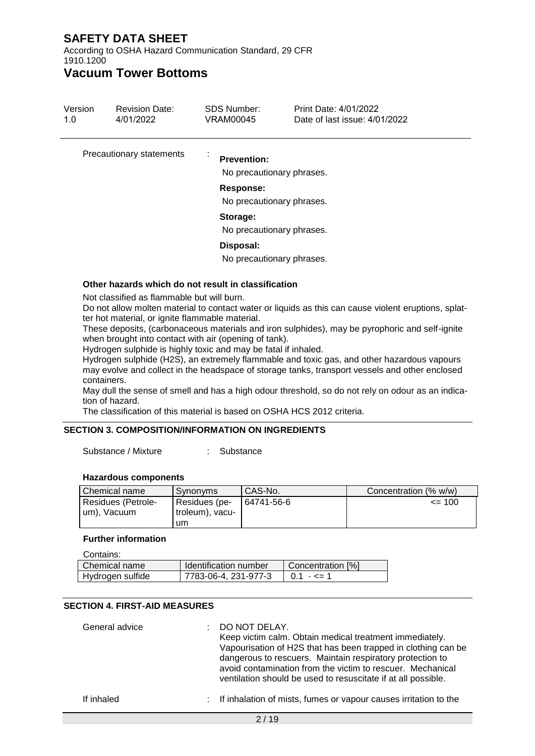According to OSHA Hazard Communication Standard, 29 CFR 1910.1200

# **Vacuum Tower Bottoms**

| Version<br>1.0 | <b>Revision Date:</b><br>4/01/2022                  | SDS Number:<br>VRAM00045                                                                  | Print Date: 4/01/2022<br>Date of last issue: 4/01/2022 |  |  |  |  |  |
|----------------|-----------------------------------------------------|-------------------------------------------------------------------------------------------|--------------------------------------------------------|--|--|--|--|--|
|                | Precautionary statements                            | <b>Prevention:</b><br>No precautionary phrases.<br>Response:<br>No precautionary phrases. |                                                        |  |  |  |  |  |
|                |                                                     | Storage:<br>No precautionary phrases.                                                     |                                                        |  |  |  |  |  |
|                |                                                     | Disposal:<br>No precautionary phrases.                                                    |                                                        |  |  |  |  |  |
|                | Other hazards which do not result in classification |                                                                                           |                                                        |  |  |  |  |  |

Not classified as flammable but will burn.

Do not allow molten material to contact water or liquids as this can cause violent eruptions, splatter hot material, or ignite flammable material.

These deposits, (carbonaceous materials and iron sulphides), may be pyrophoric and self-ignite when brought into contact with air (opening of tank).

Hydrogen sulphide is highly toxic and may be fatal if inhaled.

Hydrogen sulphide (H2S), an extremely flammable and toxic gas, and other hazardous vapours may evolve and collect in the headspace of storage tanks, transport vessels and other enclosed containers.

May dull the sense of smell and has a high odour threshold, so do not rely on odour as an indication of hazard.

The classification of this material is based on OSHA HCS 2012 criteria.

### **SECTION 3. COMPOSITION/INFORMATION ON INGREDIENTS**

Substance / Mixture : Substance

#### **Hazardous components**

| l Chemical name                     | Synonyms                         | CAS-No.    | Concentration (% w/w) |
|-------------------------------------|----------------------------------|------------|-----------------------|
| Residues (Petrole-<br>I um), Vacuum | Residues (pe-<br>troleum), vacu- | 64741-56-6 | $= 100$               |
|                                     | um                               |            |                       |

#### **Further information**

| Contains:        |                       |                   |
|------------------|-----------------------|-------------------|
| Chemical name    | Identification number | Concentration [%] |
| Hydrogen sulfide | 7783-06-4, 231-977-3  | $0.1 - \leq 1$    |

#### **SECTION 4. FIRST-AID MEASURES**

| General advice | : DO NOT DELAY.<br>Keep victim calm. Obtain medical treatment immediately.<br>Vapourisation of H2S that has been trapped in clothing can be<br>dangerous to rescuers. Maintain respiratory protection to<br>avoid contamination from the victim to rescuer. Mechanical<br>ventilation should be used to resuscitate if at all possible. |
|----------------|-----------------------------------------------------------------------------------------------------------------------------------------------------------------------------------------------------------------------------------------------------------------------------------------------------------------------------------------|
| If inhaled     | : If inhalation of mists, fumes or vapour causes irritation to the                                                                                                                                                                                                                                                                      |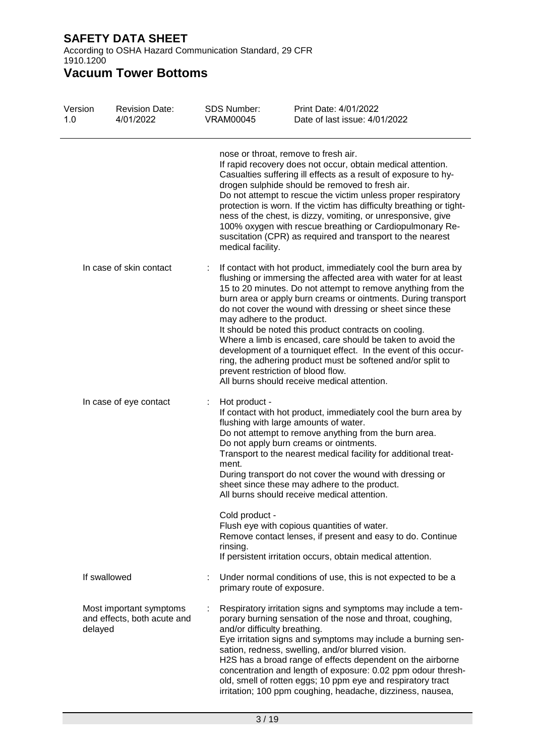According to OSHA Hazard Communication Standard, 29 CFR 1910.1200

| Version<br>1.0 | <b>Revision Date:</b><br>4/01/2022                     | SDS Number:<br><b>VRAM00045</b>                      | Print Date: 4/01/2022<br>Date of last issue: 4/01/2022                                                                                                                                                                                                                                                                                                                                                                                                                                                                                                                                                                                                                                                      |
|----------------|--------------------------------------------------------|------------------------------------------------------|-------------------------------------------------------------------------------------------------------------------------------------------------------------------------------------------------------------------------------------------------------------------------------------------------------------------------------------------------------------------------------------------------------------------------------------------------------------------------------------------------------------------------------------------------------------------------------------------------------------------------------------------------------------------------------------------------------------|
|                |                                                        | medical facility.                                    | nose or throat, remove to fresh air.<br>If rapid recovery does not occur, obtain medical attention.<br>Casualties suffering ill effects as a result of exposure to hy-<br>drogen sulphide should be removed to fresh air.<br>Do not attempt to rescue the victim unless proper respiratory<br>protection is worn. If the victim has difficulty breathing or tight-<br>ness of the chest, is dizzy, vomiting, or unresponsive, give<br>100% oxygen with rescue breathing or Cardiopulmonary Re-<br>suscitation (CPR) as required and transport to the nearest                                                                                                                                                |
|                | In case of skin contact                                |                                                      | If contact with hot product, immediately cool the burn area by<br>flushing or immersing the affected area with water for at least<br>15 to 20 minutes. Do not attempt to remove anything from the<br>burn area or apply burn creams or ointments. During transport<br>do not cover the wound with dressing or sheet since these<br>may adhere to the product.<br>It should be noted this product contracts on cooling.<br>Where a limb is encased, care should be taken to avoid the<br>development of a tourniquet effect. In the event of this occur-<br>ring, the adhering product must be softened and/or split to<br>prevent restriction of blood flow.<br>All burns should receive medical attention. |
|                | In case of eye contact                                 | Hot product -<br>ment.<br>Cold product -<br>rinsing. | If contact with hot product, immediately cool the burn area by<br>flushing with large amounts of water.<br>Do not attempt to remove anything from the burn area.<br>Do not apply burn creams or ointments.<br>Transport to the nearest medical facility for additional treat-<br>During transport do not cover the wound with dressing or<br>sheet since these may adhere to the product.<br>All burns should receive medical attention.<br>Flush eye with copious quantities of water.<br>Remove contact lenses, if present and easy to do. Continue<br>If persistent irritation occurs, obtain medical attention.                                                                                         |
|                | If swallowed                                           | primary route of exposure.                           | Under normal conditions of use, this is not expected to be a                                                                                                                                                                                                                                                                                                                                                                                                                                                                                                                                                                                                                                                |
| delayed        | Most important symptoms<br>and effects, both acute and | and/or difficulty breathing.                         | Respiratory irritation signs and symptoms may include a tem-<br>porary burning sensation of the nose and throat, coughing,<br>Eye irritation signs and symptoms may include a burning sen-<br>sation, redness, swelling, and/or blurred vision.<br>H2S has a broad range of effects dependent on the airborne<br>concentration and length of exposure: 0.02 ppm odour thresh-<br>old, smell of rotten eggs; 10 ppm eye and respiratory tract<br>irritation; 100 ppm coughing, headache, dizziness, nausea,                                                                                                                                                                                                  |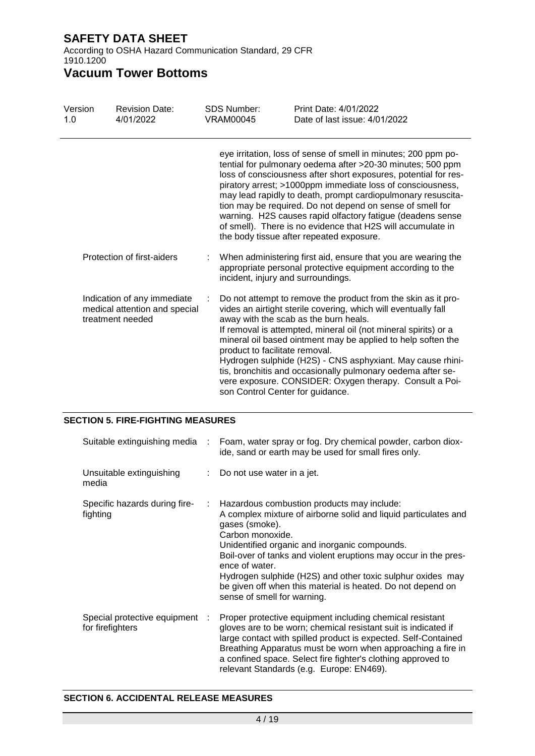According to OSHA Hazard Communication Standard, 29 CFR 1910.1200

# **Vacuum Tower Bottoms**

| Version<br>1.0 |  | <b>Revision Date:</b><br>4/01/2022                                                                                                                                                                                                                                                                                                                                                                                                                                                                                                                                  | <b>SDS Number:</b><br><b>VRAM00045</b>                             | Print Date: 4/01/2022<br>Date of last issue: 4/01/2022                                                                                                                                                                                                                                                                                                                                                                                                                                              |  |
|----------------|--|---------------------------------------------------------------------------------------------------------------------------------------------------------------------------------------------------------------------------------------------------------------------------------------------------------------------------------------------------------------------------------------------------------------------------------------------------------------------------------------------------------------------------------------------------------------------|--------------------------------------------------------------------|-----------------------------------------------------------------------------------------------------------------------------------------------------------------------------------------------------------------------------------------------------------------------------------------------------------------------------------------------------------------------------------------------------------------------------------------------------------------------------------------------------|--|
|                |  | eye irritation, loss of sense of smell in minutes; 200 ppm po-<br>tential for pulmonary oedema after >20-30 minutes; 500 ppm<br>loss of consciousness after short exposures, potential for res-<br>piratory arrest; >1000ppm immediate loss of consciousness,<br>may lead rapidly to death, prompt cardiopulmonary resuscita-<br>tion may be required. Do not depend on sense of smell for<br>warning. H2S causes rapid olfactory fatigue (deadens sense<br>of smell). There is no evidence that H2S will accumulate in<br>the body tissue after repeated exposure. |                                                                    |                                                                                                                                                                                                                                                                                                                                                                                                                                                                                                     |  |
|                |  | Protection of first-aiders                                                                                                                                                                                                                                                                                                                                                                                                                                                                                                                                          | incident, injury and surroundings.                                 | When administering first aid, ensure that you are wearing the<br>appropriate personal protective equipment according to the                                                                                                                                                                                                                                                                                                                                                                         |  |
|                |  | Indication of any immediate<br>medical attention and special<br>treatment needed                                                                                                                                                                                                                                                                                                                                                                                                                                                                                    | product to facilitate removal.<br>son Control Center for guidance. | Do not attempt to remove the product from the skin as it pro-<br>vides an airtight sterile covering, which will eventually fall<br>away with the scab as the burn heals.<br>If removal is attempted, mineral oil (not mineral spirits) or a<br>mineral oil based ointment may be applied to help soften the<br>Hydrogen sulphide (H2S) - CNS asphyxiant. May cause rhini-<br>tis, bronchitis and occasionally pulmonary oedema after se-<br>vere exposure. CONSIDER: Oxygen therapy. Consult a Poi- |  |

### **SECTION 5. FIRE-FIGHTING MEASURES**

| Suitable extinguishing media                       |    | Foam, water spray or fog. Dry chemical powder, carbon diox-<br>ide, sand or earth may be used for small fires only.                                                                                                                                                                                                                                                                                                                                   |  |  |
|----------------------------------------------------|----|-------------------------------------------------------------------------------------------------------------------------------------------------------------------------------------------------------------------------------------------------------------------------------------------------------------------------------------------------------------------------------------------------------------------------------------------------------|--|--|
| Unsuitable extinguishing<br>media                  | t. | Do not use water in a jet.                                                                                                                                                                                                                                                                                                                                                                                                                            |  |  |
| Specific hazards during fire-<br>fighting          | ÷. | Hazardous combustion products may include:<br>A complex mixture of airborne solid and liquid particulates and<br>gases (smoke).<br>Carbon monoxide.<br>Unidentified organic and inorganic compounds.<br>Boil-over of tanks and violent eruptions may occur in the pres-<br>ence of water.<br>Hydrogen sulphide (H2S) and other toxic sulphur oxides may<br>be given off when this material is heated. Do not depend on<br>sense of smell for warning. |  |  |
| Special protective equipment :<br>for firefighters |    | Proper protective equipment including chemical resistant<br>gloves are to be worn; chemical resistant suit is indicated if<br>large contact with spilled product is expected. Self-Contained<br>Breathing Apparatus must be worn when approaching a fire in<br>a confined space. Select fire fighter's clothing approved to<br>relevant Standards (e.g. Europe: EN469).                                                                               |  |  |

#### **SECTION 6. ACCIDENTAL RELEASE MEASURES**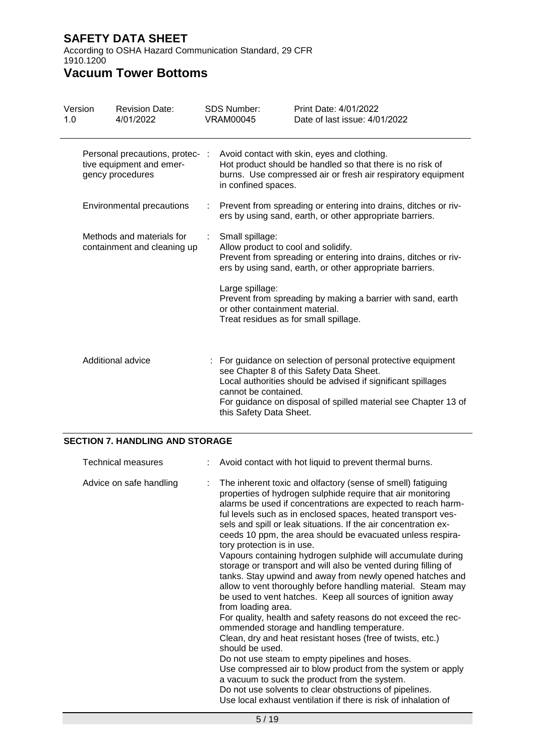According to OSHA Hazard Communication Standard, 29 CFR 1910.1200

# **Vacuum Tower Bottoms**

| Version<br>1.0 |                                                          | <b>Revision Date:</b><br>4/01/2022                                              |   | <b>SDS Number:</b><br><b>VRAM00045</b>                 | Print Date: 4/01/2022<br>Date of last issue: 4/01/2022                                                                                                                                                                                     |
|----------------|----------------------------------------------------------|---------------------------------------------------------------------------------|---|--------------------------------------------------------|--------------------------------------------------------------------------------------------------------------------------------------------------------------------------------------------------------------------------------------------|
|                |                                                          | Personal precautions, protec- :<br>tive equipment and emer-<br>gency procedures |   | in confined spaces.                                    | Avoid contact with skin, eyes and clothing.<br>Hot product should be handled so that there is no risk of<br>burns. Use compressed air or fresh air respiratory equipment                                                                   |
|                |                                                          | Environmental precautions                                                       | ÷ |                                                        | Prevent from spreading or entering into drains, ditches or riv-<br>ers by using sand, earth, or other appropriate barriers.                                                                                                                |
|                | Methods and materials for<br>containment and cleaning up |                                                                                 | ÷ | Small spillage:<br>Allow product to cool and solidify. | Prevent from spreading or entering into drains, ditches or riv-<br>ers by using sand, earth, or other appropriate barriers.                                                                                                                |
|                |                                                          |                                                                                 |   | Large spillage:<br>or other containment material.      | Prevent from spreading by making a barrier with sand, earth<br>Treat residues as for small spillage.                                                                                                                                       |
|                |                                                          | Additional advice                                                               |   | cannot be contained.<br>this Safety Data Sheet.        | : For guidance on selection of personal protective equipment<br>see Chapter 8 of this Safety Data Sheet.<br>Local authorities should be advised if significant spillages<br>For guidance on disposal of spilled material see Chapter 13 of |

### **SECTION 7. HANDLING AND STORAGE**

| Technical measures      |  | Avoid contact with hot liquid to prevent thermal burns.                                                                                                                                                                                                                                                                                                                                                                                                                                                                                                                                                                                                                                                                                                                                                                                                                                                                                                                                                                                                                                                                                                                                                                                                                     |
|-------------------------|--|-----------------------------------------------------------------------------------------------------------------------------------------------------------------------------------------------------------------------------------------------------------------------------------------------------------------------------------------------------------------------------------------------------------------------------------------------------------------------------------------------------------------------------------------------------------------------------------------------------------------------------------------------------------------------------------------------------------------------------------------------------------------------------------------------------------------------------------------------------------------------------------------------------------------------------------------------------------------------------------------------------------------------------------------------------------------------------------------------------------------------------------------------------------------------------------------------------------------------------------------------------------------------------|
| Advice on safe handling |  | The inherent toxic and olfactory (sense of smell) fatiguing<br>properties of hydrogen sulphide require that air monitoring<br>alarms be used if concentrations are expected to reach harm-<br>ful levels such as in enclosed spaces, heated transport ves-<br>sels and spill or leak situations. If the air concentration ex-<br>ceeds 10 ppm, the area should be evacuated unless respira-<br>tory protection is in use.<br>Vapours containing hydrogen sulphide will accumulate during<br>storage or transport and will also be vented during filling of<br>tanks. Stay upwind and away from newly opened hatches and<br>allow to vent thoroughly before handling material. Steam may<br>be used to vent hatches. Keep all sources of ignition away<br>from loading area.<br>For quality, health and safety reasons do not exceed the rec-<br>ommended storage and handling temperature.<br>Clean, dry and heat resistant hoses (free of twists, etc.)<br>should be used.<br>Do not use steam to empty pipelines and hoses.<br>Use compressed air to blow product from the system or apply<br>a vacuum to suck the product from the system.<br>Do not use solvents to clear obstructions of pipelines.<br>Use local exhaust ventilation if there is risk of inhalation of |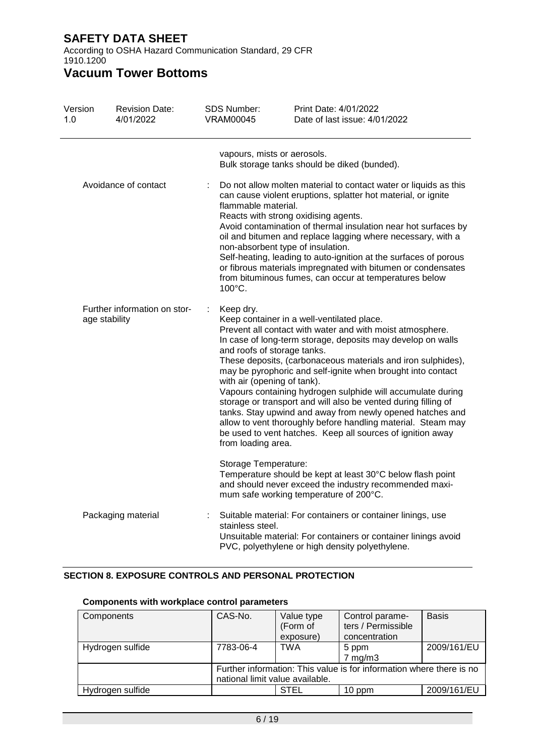According to OSHA Hazard Communication Standard, 29 CFR 1910.1200

# **Vacuum Tower Bottoms**

| Version<br>1.0       | <b>Revision Date:</b><br>4/01/2022            | <b>SDS Number:</b><br><b>VRAM00045</b> | Print Date: 4/01/2022<br>Date of last issue: 4/01/2022                                                                                                                                                                                                                                                                                                                                                                                                                                                                                                                                                                                                                                                                             |
|----------------------|-----------------------------------------------|----------------------------------------|------------------------------------------------------------------------------------------------------------------------------------------------------------------------------------------------------------------------------------------------------------------------------------------------------------------------------------------------------------------------------------------------------------------------------------------------------------------------------------------------------------------------------------------------------------------------------------------------------------------------------------------------------------------------------------------------------------------------------------|
|                      |                                               |                                        | vapours, mists or aerosols.<br>Bulk storage tanks should be diked (bunded).                                                                                                                                                                                                                                                                                                                                                                                                                                                                                                                                                                                                                                                        |
| Avoidance of contact |                                               | 100°C.                                 | Do not allow molten material to contact water or liquids as this<br>can cause violent eruptions, splatter hot material, or ignite<br>flammable material.<br>Reacts with strong oxidising agents.<br>Avoid contamination of thermal insulation near hot surfaces by<br>oil and bitumen and replace lagging where necessary, with a<br>non-absorbent type of insulation.<br>Self-heating, leading to auto-ignition at the surfaces of porous<br>or fibrous materials impregnated with bitumen or condensates<br>from bituminous fumes, can occur at temperatures below                                                                                                                                                               |
|                      | Further information on stor-<br>age stability |                                        | Keep dry.<br>Keep container in a well-ventilated place.<br>Prevent all contact with water and with moist atmosphere.<br>In case of long-term storage, deposits may develop on walls<br>and roofs of storage tanks.<br>These deposits, (carbonaceous materials and iron sulphides),<br>may be pyrophoric and self-ignite when brought into contact<br>with air (opening of tank).<br>Vapours containing hydrogen sulphide will accumulate during<br>storage or transport and will also be vented during filling of<br>tanks. Stay upwind and away from newly opened hatches and<br>allow to vent thoroughly before handling material. Steam may<br>be used to vent hatches. Keep all sources of ignition away<br>from loading area. |
|                      |                                               |                                        | Storage Temperature:<br>Temperature should be kept at least 30°C below flash point<br>and should never exceed the industry recommended maxi-<br>mum safe working temperature of 200°C.                                                                                                                                                                                                                                                                                                                                                                                                                                                                                                                                             |
| Packaging material   |                                               | ÷<br>stainless steel.                  | Suitable material: For containers or container linings, use<br>Unsuitable material: For containers or container linings avoid<br>PVC, polyethylene or high density polyethylene.                                                                                                                                                                                                                                                                                                                                                                                                                                                                                                                                                   |

### **SECTION 8. EXPOSURE CONTROLS AND PERSONAL PROTECTION**

| Components       | CAS-No.                                                              | Value type | Control parame-    | <b>Basis</b> |
|------------------|----------------------------------------------------------------------|------------|--------------------|--------------|
|                  |                                                                      | (Form of   | ters / Permissible |              |
|                  |                                                                      | exposure)  | concentration      |              |
| Hydrogen sulfide | 7783-06-4                                                            | <b>TWA</b> | 5 ppm              | 2009/161/EU  |
|                  |                                                                      |            | $7$ mg/m $3$       |              |
|                  | Further information: This value is for information where there is no |            |                    |              |
|                  | national limit value available.                                      |            |                    |              |
| Hydrogen sulfide |                                                                      | STEL       | 10 ppm             | 2009/161/EU  |

### **Components with workplace control parameters**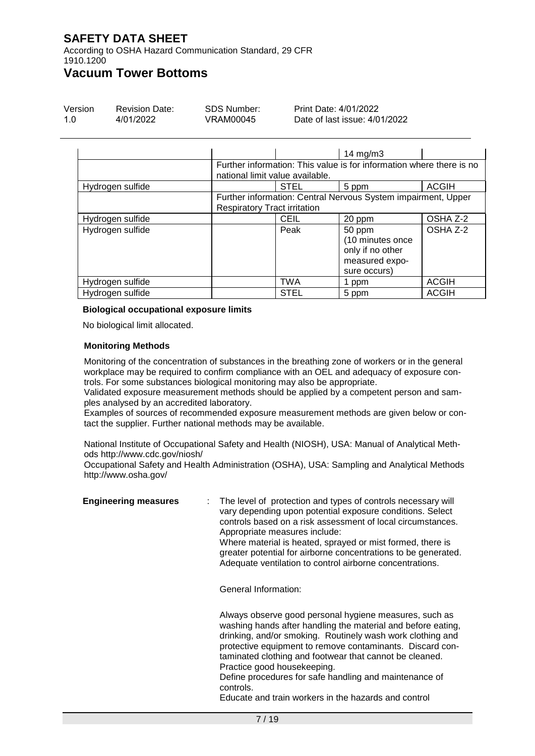According to OSHA Hazard Communication Standard, 29 CFR 1910.1200

## **Vacuum Tower Bottoms**

| Version | <b>Revision Date:</b> | SDS Number: | Print Date: 4/01/2022         |
|---------|-----------------------|-------------|-------------------------------|
| 1.0     | 4/01/2022             | VRAM00045   | Date of last issue: 4/01/2022 |

|                  |                                     |             | 14 $mg/m3$                                                                       |              |
|------------------|-------------------------------------|-------------|----------------------------------------------------------------------------------|--------------|
|                  | national limit value available.     |             | Further information: This value is for information where there is no             |              |
| Hydrogen sulfide |                                     | <b>STEL</b> | 5 ppm                                                                            | <b>ACGIH</b> |
|                  | <b>Respiratory Tract irritation</b> |             | Further information: Central Nervous System impairment, Upper                    |              |
| Hydrogen sulfide |                                     | <b>CEIL</b> | 20 ppm                                                                           | OSHA Z-2     |
| Hydrogen sulfide |                                     | Peak        | 50 ppm<br>(10 minutes once<br>only if no other<br>measured expo-<br>sure occurs) | OSHA Z-2     |
| Hydrogen sulfide |                                     | <b>TWA</b>  | 1 ppm                                                                            | <b>ACGIH</b> |
| Hydrogen sulfide |                                     | <b>STEL</b> | 5 ppm                                                                            | <b>ACGIH</b> |

#### **Biological occupational exposure limits**

No biological limit allocated.

#### **Monitoring Methods**

Monitoring of the concentration of substances in the breathing zone of workers or in the general workplace may be required to confirm compliance with an OEL and adequacy of exposure controls. For some substances biological monitoring may also be appropriate.

Validated exposure measurement methods should be applied by a competent person and samples analysed by an accredited laboratory.

Examples of sources of recommended exposure measurement methods are given below or contact the supplier. Further national methods may be available.

National Institute of Occupational Safety and Health (NIOSH), USA: Manual of Analytical Methods http://www.cdc.gov/niosh/

Occupational Safety and Health Administration (OSHA), USA: Sampling and Analytical Methods http://www.osha.gov/

| <b>Engineering measures</b> | : The level of protection and types of controls necessary will<br>vary depending upon potential exposure conditions. Select<br>controls based on a risk assessment of local circumstances.<br>Appropriate measures include:<br>Where material is heated, sprayed or mist formed, there is<br>greater potential for airborne concentrations to be generated.<br>Adequate ventilation to control airborne concentrations. |
|-----------------------------|-------------------------------------------------------------------------------------------------------------------------------------------------------------------------------------------------------------------------------------------------------------------------------------------------------------------------------------------------------------------------------------------------------------------------|
|                             | General Information:                                                                                                                                                                                                                                                                                                                                                                                                    |
|                             | Always observe good personal hygiene measures, such as<br>washing hands after handling the material and before eating,<br>drinking, and/or smoking. Routinely wash work clothing and<br>protective equipment to remove contaminants. Discard con-<br>taminated clothing and footwear that cannot be cleaned.<br>Practice good housekeeping.<br>Define procedures for safe handling and maintenance of<br>controls.      |

Educate and train workers in the hazards and control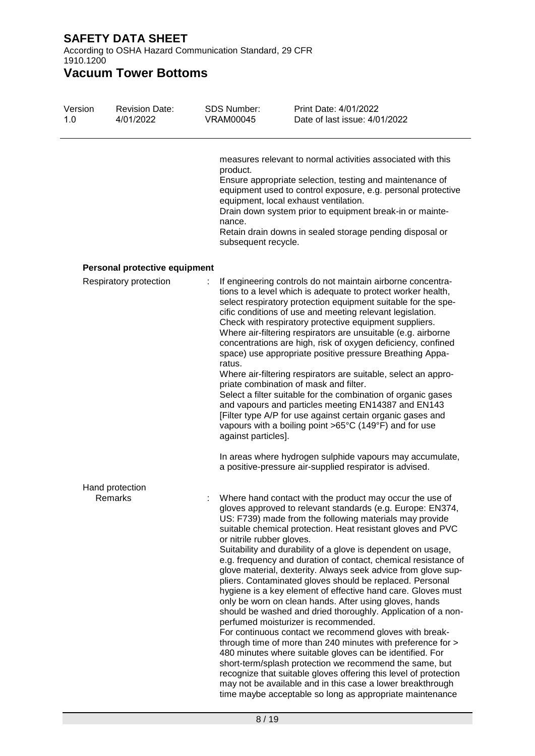According to OSHA Hazard Communication Standard, 29 CFR 1910.1200

| Version<br>1.0 | <b>Revision Date:</b><br>4/01/2022 | <b>SDS Number:</b><br><b>VRAM00045</b>    | Print Date: 4/01/2022<br>Date of last issue: 4/01/2022                                                                                                                                                                                                                                                                                                                                                                                                                                                                                                                                                                                                                                                                                                                                                                                                                                                                                                                                                                                                                                                                                                                                          |
|----------------|------------------------------------|-------------------------------------------|-------------------------------------------------------------------------------------------------------------------------------------------------------------------------------------------------------------------------------------------------------------------------------------------------------------------------------------------------------------------------------------------------------------------------------------------------------------------------------------------------------------------------------------------------------------------------------------------------------------------------------------------------------------------------------------------------------------------------------------------------------------------------------------------------------------------------------------------------------------------------------------------------------------------------------------------------------------------------------------------------------------------------------------------------------------------------------------------------------------------------------------------------------------------------------------------------|
|                |                                    | product.<br>nance.<br>subsequent recycle. | measures relevant to normal activities associated with this<br>Ensure appropriate selection, testing and maintenance of<br>equipment used to control exposure, e.g. personal protective<br>equipment, local exhaust ventilation.<br>Drain down system prior to equipment break-in or mainte-<br>Retain drain downs in sealed storage pending disposal or                                                                                                                                                                                                                                                                                                                                                                                                                                                                                                                                                                                                                                                                                                                                                                                                                                        |
|                | Personal protective equipment      |                                           |                                                                                                                                                                                                                                                                                                                                                                                                                                                                                                                                                                                                                                                                                                                                                                                                                                                                                                                                                                                                                                                                                                                                                                                                 |
|                | Respiratory protection             | ratus.<br>against particles].             | If engineering controls do not maintain airborne concentra-<br>tions to a level which is adequate to protect worker health,<br>select respiratory protection equipment suitable for the spe-<br>cific conditions of use and meeting relevant legislation.<br>Check with respiratory protective equipment suppliers.<br>Where air-filtering respirators are unsuitable (e.g. airborne<br>concentrations are high, risk of oxygen deficiency, confined<br>space) use appropriate positive pressure Breathing Appa-<br>Where air-filtering respirators are suitable, select an appro-<br>priate combination of mask and filter.<br>Select a filter suitable for the combination of organic gases<br>and vapours and particles meeting EN14387 and EN143<br>[Filter type A/P for use against certain organic gases and<br>vapours with a boiling point >65°C (149°F) and for use                                                                                                                                                                                                                                                                                                                    |
|                |                                    |                                           | In areas where hydrogen sulphide vapours may accumulate,<br>a positive-pressure air-supplied respirator is advised.                                                                                                                                                                                                                                                                                                                                                                                                                                                                                                                                                                                                                                                                                                                                                                                                                                                                                                                                                                                                                                                                             |
|                | Hand protection<br>Remarks         | or nitrile rubber gloves.                 | Where hand contact with the product may occur the use of<br>gloves approved to relevant standards (e.g. Europe: EN374,<br>US: F739) made from the following materials may provide<br>suitable chemical protection. Heat resistant gloves and PVC<br>Suitability and durability of a glove is dependent on usage,<br>e.g. frequency and duration of contact, chemical resistance of<br>glove material, dexterity. Always seek advice from glove sup-<br>pliers. Contaminated gloves should be replaced. Personal<br>hygiene is a key element of effective hand care. Gloves must<br>only be worn on clean hands. After using gloves, hands<br>should be washed and dried thoroughly. Application of a non-<br>perfumed moisturizer is recommended.<br>For continuous contact we recommend gloves with break-<br>through time of more than 240 minutes with preference for ><br>480 minutes where suitable gloves can be identified. For<br>short-term/splash protection we recommend the same, but<br>recognize that suitable gloves offering this level of protection<br>may not be available and in this case a lower breakthrough<br>time maybe acceptable so long as appropriate maintenance |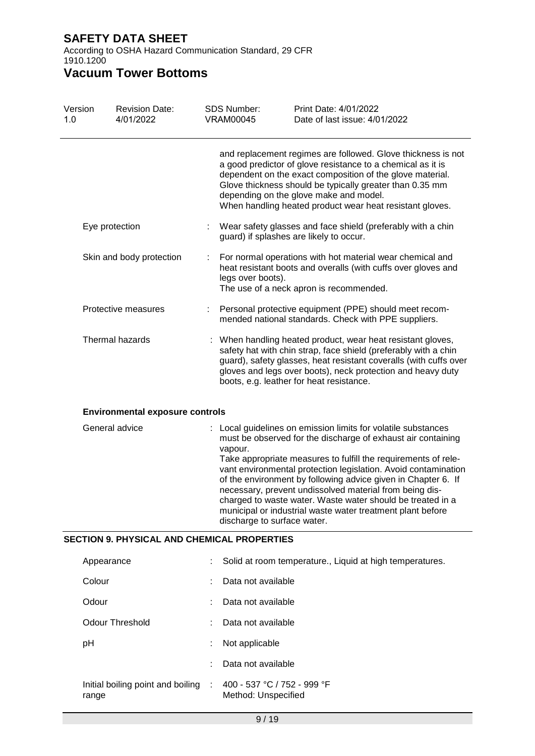According to OSHA Hazard Communication Standard, 29 CFR 1910.1200

| Version<br>1.0 |            | <b>Revision Date:</b><br>4/01/2022                 | <b>SDS Number:</b><br><b>VRAM00045</b> | Print Date: 4/01/2022<br>Date of last issue: 4/01/2022                                                                                                                                                                                                                                                                                                                                                                                                                                                                  |
|----------------|------------|----------------------------------------------------|----------------------------------------|-------------------------------------------------------------------------------------------------------------------------------------------------------------------------------------------------------------------------------------------------------------------------------------------------------------------------------------------------------------------------------------------------------------------------------------------------------------------------------------------------------------------------|
|                |            |                                                    |                                        | and replacement regimes are followed. Glove thickness is not<br>a good predictor of glove resistance to a chemical as it is<br>dependent on the exact composition of the glove material.<br>Glove thickness should be typically greater than 0.35 mm<br>depending on the glove make and model.<br>When handling heated product wear heat resistant gloves.                                                                                                                                                              |
|                |            | Eye protection                                     |                                        | Wear safety glasses and face shield (preferably with a chin<br>guard) if splashes are likely to occur.                                                                                                                                                                                                                                                                                                                                                                                                                  |
|                |            | Skin and body protection                           | legs over boots).                      | For normal operations with hot material wear chemical and<br>heat resistant boots and overalls (with cuffs over gloves and<br>The use of a neck apron is recommended.                                                                                                                                                                                                                                                                                                                                                   |
|                |            | Protective measures                                |                                        | Personal protective equipment (PPE) should meet recom-<br>mended national standards. Check with PPE suppliers.                                                                                                                                                                                                                                                                                                                                                                                                          |
|                |            | Thermal hazards                                    |                                        | When handling heated product, wear heat resistant gloves,<br>safety hat with chin strap, face shield (preferably with a chin<br>guard), safety glasses, heat resistant coveralls (with cuffs over<br>gloves and legs over boots), neck protection and heavy duty<br>boots, e.g. leather for heat resistance.                                                                                                                                                                                                            |
|                |            | <b>Environmental exposure controls</b>             |                                        |                                                                                                                                                                                                                                                                                                                                                                                                                                                                                                                         |
|                |            | General advice                                     | vapour.<br>discharge to surface water. | Local guidelines on emission limits for volatile substances<br>must be observed for the discharge of exhaust air containing<br>Take appropriate measures to fulfill the requirements of rele-<br>vant environmental protection legislation. Avoid contamination<br>of the environment by following advice given in Chapter 6. If<br>necessary, prevent undissolved material from being dis-<br>charged to waste water. Waste water should be treated in a<br>municipal or industrial waste water treatment plant before |
|                |            | <b>SECTION 9. PHYSICAL AND CHEMICAL PROPERTIES</b> |                                        |                                                                                                                                                                                                                                                                                                                                                                                                                                                                                                                         |
|                | Appearance |                                                    |                                        | Solid at room temperature., Liquid at high temperatures.                                                                                                                                                                                                                                                                                                                                                                                                                                                                |
|                | Colour     |                                                    | Data not available                     |                                                                                                                                                                                                                                                                                                                                                                                                                                                                                                                         |
|                | Odour      |                                                    | Data not available                     |                                                                                                                                                                                                                                                                                                                                                                                                                                                                                                                         |
|                |            | <b>Odour Threshold</b>                             | Data not available                     |                                                                                                                                                                                                                                                                                                                                                                                                                                                                                                                         |
|                | pH         |                                                    | Not applicable                         |                                                                                                                                                                                                                                                                                                                                                                                                                                                                                                                         |
|                |            |                                                    | Data not available                     |                                                                                                                                                                                                                                                                                                                                                                                                                                                                                                                         |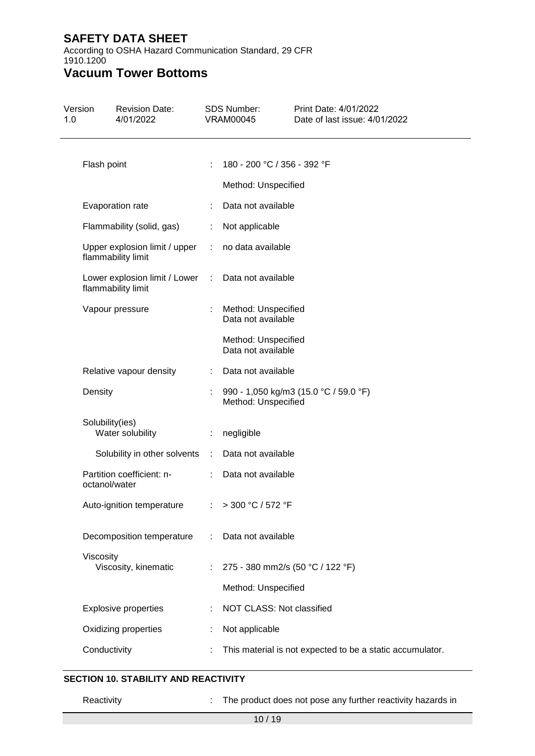According to OSHA Hazard Communication Standard, 29 CFR 1910.1200

# **Vacuum Tower Bottoms**

| Version<br>1.0 |                 | <b>Revision Date:</b><br>4/01/2022                                      |                               | SDS Number:<br><b>VRAM00045</b>           | Print Date: 4/01/2022<br>Date of last issue: 4/01/2022    |
|----------------|-----------------|-------------------------------------------------------------------------|-------------------------------|-------------------------------------------|-----------------------------------------------------------|
|                | Flash point     |                                                                         | $\mathcal{I}^{\mathcal{I}}$ . | 180 - 200 °C / 356 - 392 °F               |                                                           |
|                |                 |                                                                         |                               | Method: Unspecified                       |                                                           |
|                |                 | Evaporation rate                                                        | $\mathcal{L}^{\text{max}}$    | Data not available                        |                                                           |
|                |                 | Flammability (solid, gas)                                               |                               | : Not applicable                          |                                                           |
|                |                 | Upper explosion limit / upper : no data available<br>flammability limit |                               |                                           |                                                           |
|                |                 | Lower explosion limit / Lower<br>flammability limit                     | $\sim 100$                    | Data not available                        |                                                           |
|                |                 | Vapour pressure                                                         | ÷                             | Method: Unspecified<br>Data not available |                                                           |
|                |                 |                                                                         |                               | Method: Unspecified<br>Data not available |                                                           |
|                |                 | Relative vapour density                                                 |                               | : Data not available                      |                                                           |
|                | Density         |                                                                         |                               | Method: Unspecified                       | 990 - 1,050 kg/m3 (15.0 °C / 59.0 °F)                     |
|                | Solubility(ies) | Water solubility                                                        |                               | : negligible                              |                                                           |
|                |                 | Solubility in other solvents : Data not available                       |                               |                                           |                                                           |
|                | octanol/water   | Partition coefficient: n-                                               |                               | : Data not available                      |                                                           |
|                |                 | Auto-ignition temperature : > 300 °C / 572 °F                           |                               |                                           |                                                           |
|                |                 | Decomposition temperature                                               | $\mathcal{L}^{\mathcal{L}}$ . | Data not available                        |                                                           |
|                | Viscosity       | Viscosity, kinematic                                                    | ÷                             | 275 - 380 mm2/s (50 °C / 122 °F)          |                                                           |
|                |                 |                                                                         |                               | Method: Unspecified                       |                                                           |
|                |                 | <b>Explosive properties</b>                                             | ÷                             | NOT CLASS: Not classified                 |                                                           |
|                |                 | Oxidizing properties                                                    | t                             | Not applicable                            |                                                           |
|                | Conductivity    |                                                                         |                               |                                           | This material is not expected to be a static accumulator. |

### **SECTION 10. STABILITY AND REACTIVITY**

Reactivity **Example 20** The product does not pose any further reactivity hazards in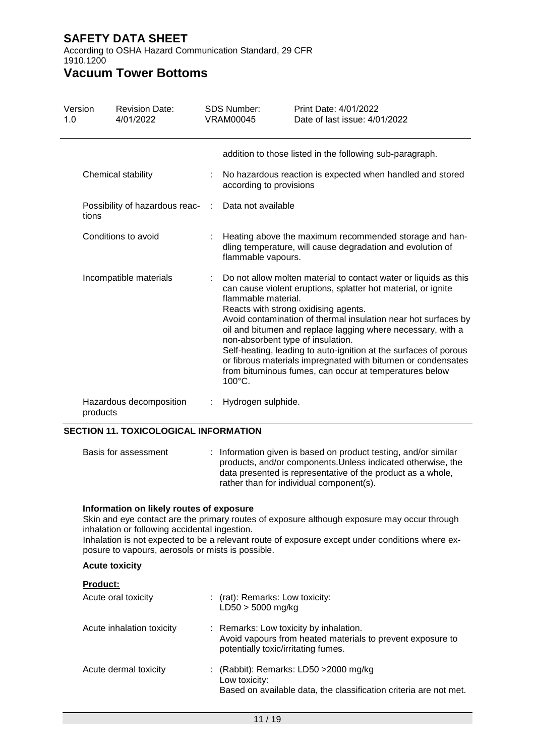According to OSHA Hazard Communication Standard, 29 CFR 1910.1200

## **Vacuum Tower Bottoms**

| Version<br>1.0 |          | <b>Revision Date:</b><br>4/01/2022 |       | <b>SDS Number:</b><br><b>VRAM00045</b>                             | Print Date: 4/01/2022<br>Date of last issue: 4/01/2022                                                                                                                                                                                                                                                                                                                                                                                                                                                   |
|----------------|----------|------------------------------------|-------|--------------------------------------------------------------------|----------------------------------------------------------------------------------------------------------------------------------------------------------------------------------------------------------------------------------------------------------------------------------------------------------------------------------------------------------------------------------------------------------------------------------------------------------------------------------------------------------|
|                |          |                                    |       |                                                                    | addition to those listed in the following sub-paragraph.                                                                                                                                                                                                                                                                                                                                                                                                                                                 |
|                |          | Chemical stability                 |       | according to provisions                                            | No hazardous reaction is expected when handled and stored                                                                                                                                                                                                                                                                                                                                                                                                                                                |
|                | tions    | Possibility of hazardous reac-     | $\pm$ | Data not available                                                 |                                                                                                                                                                                                                                                                                                                                                                                                                                                                                                          |
|                |          | Conditions to avoid                |       | flammable vapours.                                                 | Heating above the maximum recommended storage and han-<br>dling temperature, will cause degradation and evolution of                                                                                                                                                                                                                                                                                                                                                                                     |
|                |          | Incompatible materials             |       | flammable material.<br>non-absorbent type of insulation.<br>100°C. | Do not allow molten material to contact water or liquids as this<br>can cause violent eruptions, splatter hot material, or ignite<br>Reacts with strong oxidising agents.<br>Avoid contamination of thermal insulation near hot surfaces by<br>oil and bitumen and replace lagging where necessary, with a<br>Self-heating, leading to auto-ignition at the surfaces of porous<br>or fibrous materials impregnated with bitumen or condensates<br>from bituminous fumes, can occur at temperatures below |
|                | products | Hazardous decomposition            |       | Hydrogen sulphide.                                                 |                                                                                                                                                                                                                                                                                                                                                                                                                                                                                                          |

### **SECTION 11. TOXICOLOGICAL INFORMATION**

| Basis for assessment | : Information given is based on product testing, and/or similar<br>products, and/or components. Unless indicated otherwise, the<br>data presented is representative of the product as a whole,<br>rather than for individual component(s). |
|----------------------|--------------------------------------------------------------------------------------------------------------------------------------------------------------------------------------------------------------------------------------------|
|                      |                                                                                                                                                                                                                                            |

### **Information on likely routes of exposure**

Skin and eye contact are the primary routes of exposure although exposure may occur through inhalation or following accidental ingestion.

Inhalation is not expected to be a relevant route of exposure except under conditions where exposure to vapours, aerosols or mists is possible.

### **Acute toxicity**

### **Product:**

| Acute oral toxicity       | : (rat): Remarks: Low toxicity:<br>$LD50 > 5000$ mg/kg                                                                                      |
|---------------------------|---------------------------------------------------------------------------------------------------------------------------------------------|
| Acute inhalation toxicity | : Remarks: Low toxicity by inhalation.<br>Avoid vapours from heated materials to prevent exposure to<br>potentially toxic/irritating fumes. |
| Acute dermal toxicity     | : (Rabbit): Remarks: LD50 $>$ 2000 mg/kg<br>Low toxicity:<br>Based on available data, the classification criteria are not met.              |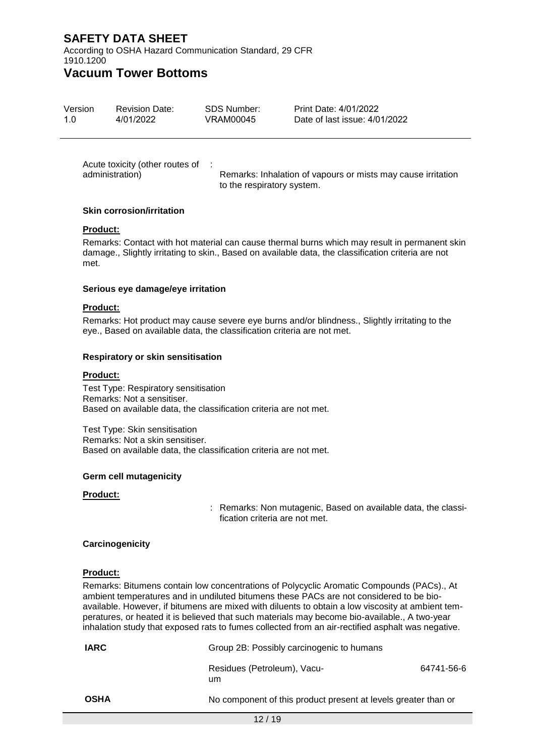According to OSHA Hazard Communication Standard, 29 CFR 1910.1200

### **Vacuum Tower Bottoms**

|  | Version<br><b>Revision Date:</b><br>4/01/2022<br>1 በ | SDS Number:<br>VRAM00045 | Print Date: 4/01/2022<br>Date of last issue: 4/01/2022 |  |
|--|------------------------------------------------------|--------------------------|--------------------------------------------------------|--|
|--|------------------------------------------------------|--------------------------|--------------------------------------------------------|--|

Acute toxicity (other routes of administration) : Remarks: Inhalation of vapours or mists may cause irritation to the respiratory system.

#### **Skin corrosion/irritation**

#### **Product:**

Remarks: Contact with hot material can cause thermal burns which may result in permanent skin damage., Slightly irritating to skin., Based on available data, the classification criteria are not met.

#### **Serious eye damage/eye irritation**

#### **Product:**

Remarks: Hot product may cause severe eye burns and/or blindness., Slightly irritating to the eye., Based on available data, the classification criteria are not met.

#### **Respiratory or skin sensitisation**

#### **Product:**

Test Type: Respiratory sensitisation Remarks: Not a sensitiser. Based on available data, the classification criteria are not met.

Test Type: Skin sensitisation Remarks: Not a skin sensitiser. Based on available data, the classification criteria are not met.

#### **Germ cell mutagenicity**

#### **Product:**

: Remarks: Non mutagenic, Based on available data, the classification criteria are not met.

#### **Carcinogenicity**

#### **Product:**

Remarks: Bitumens contain low concentrations of Polycyclic Aromatic Compounds (PACs)., At ambient temperatures and in undiluted bitumens these PACs are not considered to be bioavailable. However, if bitumens are mixed with diluents to obtain a low viscosity at ambient temperatures, or heated it is believed that such materials may become bio-available., A two-year inhalation study that exposed rats to fumes collected from an air-rectified asphalt was negative.

| <b>IARC</b> |                                                                | Group 2B: Possibly carcinogenic to humans |  |  |
|-------------|----------------------------------------------------------------|-------------------------------------------|--|--|
|             | Residues (Petroleum), Vacu-<br>um                              | 64741-56-6                                |  |  |
| <b>OSHA</b> | No component of this product present at levels greater than or |                                           |  |  |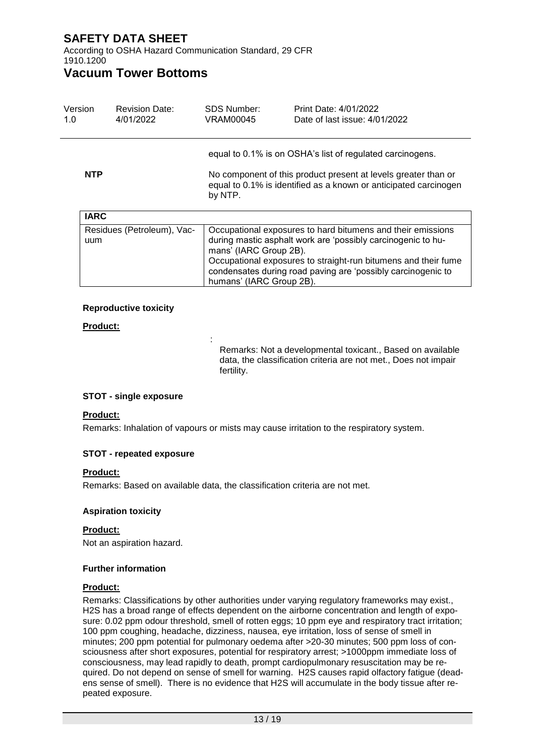According to OSHA Hazard Communication Standard, 29 CFR 1910.1200

### **Vacuum Tower Bottoms**

| Version<br>1.0 |                                           | <b>Revision Date:</b><br>4/01/2022 | SDS Number:<br>VRAM00045                                                                                                                                                                                                                             | Print Date: 4/01/2022<br>Date of last issue: 4/01/2022      |  |
|----------------|-------------------------------------------|------------------------------------|------------------------------------------------------------------------------------------------------------------------------------------------------------------------------------------------------------------------------------------------------|-------------------------------------------------------------|--|
| <b>NTP</b>     |                                           |                                    | equal to 0.1% is on OSHA's list of regulated carcinogens.<br>No component of this product present at levels greater than or<br>equal to 0.1% is identified as a known or anticipated carcinogen<br>by NTP.                                           |                                                             |  |
|                | <b>IARC</b><br>Residues (Petroleum), Vac- |                                    |                                                                                                                                                                                                                                                      | Occupational exposures to hard bitumens and their emissions |  |
|                | uum                                       |                                    | during mastic asphalt work are 'possibly carcinogenic to hu-<br>mans' (IARC Group 2B).<br>Occupational exposures to straight-run bitumens and their fume<br>condensates during road paving are 'possibly carcinogenic to<br>humans' (IARC Group 2B). |                                                             |  |

#### **Reproductive toxicity**

### **Product:**

Remarks: Not a developmental toxicant., Based on available data, the classification criteria are not met., Does not impair fertility.

### **STOT - single exposure**

#### **Product:**

Remarks: Inhalation of vapours or mists may cause irritation to the respiratory system.

#### **STOT - repeated exposure**

### **Product:**

Remarks: Based on available data, the classification criteria are not met.

:

#### **Aspiration toxicity**

#### **Product:**

Not an aspiration hazard.

#### **Further information**

#### **Product:**

Remarks: Classifications by other authorities under varying regulatory frameworks may exist., H2S has a broad range of effects dependent on the airborne concentration and length of exposure: 0.02 ppm odour threshold, smell of rotten eggs; 10 ppm eye and respiratory tract irritation; 100 ppm coughing, headache, dizziness, nausea, eye irritation, loss of sense of smell in minutes; 200 ppm potential for pulmonary oedema after >20-30 minutes; 500 ppm loss of consciousness after short exposures, potential for respiratory arrest; >1000ppm immediate loss of consciousness, may lead rapidly to death, prompt cardiopulmonary resuscitation may be required. Do not depend on sense of smell for warning. H2S causes rapid olfactory fatigue (deadens sense of smell). There is no evidence that H2S will accumulate in the body tissue after repeated exposure.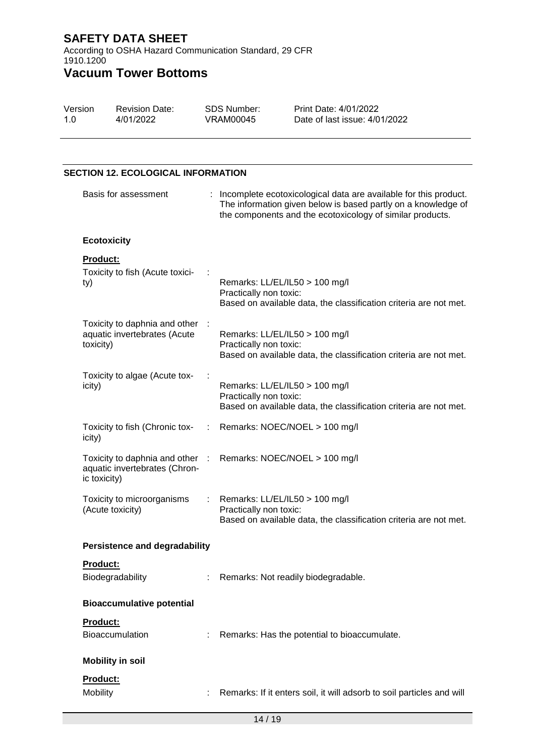According to OSHA Hazard Communication Standard, 29 CFR 1910.1200

# **Vacuum Tower Bottoms**

| Version | <b>Revision Date:</b> | SDS Number: | Print Date: 4/01/2022         |
|---------|-----------------------|-------------|-------------------------------|
| 1.0     | 4/01/2022             | VRAM00045   | Date of last issue: 4/01/2022 |

### **SECTION 12. ECOLOGICAL INFORMATION**

| Basis for assessment                                                           |      | : Incomplete ecotoxicological data are available for this product.<br>The information given below is based partly on a knowledge of<br>the components and the ecotoxicology of similar products. |
|--------------------------------------------------------------------------------|------|--------------------------------------------------------------------------------------------------------------------------------------------------------------------------------------------------|
| <b>Ecotoxicity</b>                                                             |      |                                                                                                                                                                                                  |
| <b>Product:</b><br>Toxicity to fish (Acute toxici-<br>ty)                      |      | Remarks: LL/EL/IL50 > 100 mg/l<br>Practically non toxic:<br>Based on available data, the classification criteria are not met.                                                                    |
| Toxicity to daphnia and other<br>aquatic invertebrates (Acute<br>toxicity)     |      | Remarks: LL/EL/IL50 > 100 mg/l<br>Practically non toxic:<br>Based on available data, the classification criteria are not met.                                                                    |
| Toxicity to algae (Acute tox-<br>icity)                                        |      | Remarks: LL/EL/IL50 > 100 mg/l<br>Practically non toxic:<br>Based on available data, the classification criteria are not met.                                                                    |
| Toxicity to fish (Chronic tox-<br>icity)                                       | ÷.   | Remarks: NOEC/NOEL > 100 mg/l                                                                                                                                                                    |
| Toxicity to daphnia and other<br>aquatic invertebrates (Chron-<br>ic toxicity) | - 17 | Remarks: NOEC/NOEL > 100 mg/l                                                                                                                                                                    |
| Toxicity to microorganisms<br>(Acute toxicity)                                 |      | Remarks: LL/EL/IL50 > 100 mg/l<br>Practically non toxic:<br>Based on available data, the classification criteria are not met.                                                                    |
| <b>Persistence and degradability</b>                                           |      |                                                                                                                                                                                                  |
| Product:<br>Biodegradability                                                   |      | Remarks: Not readily biodegradable.                                                                                                                                                              |
| <b>Bioaccumulative potential</b>                                               |      |                                                                                                                                                                                                  |
| Product:<br>Bioaccumulation                                                    |      | Remarks: Has the potential to bioaccumulate.                                                                                                                                                     |
| <b>Mobility in soil</b>                                                        |      |                                                                                                                                                                                                  |
| Product:<br>Mobility                                                           |      | Remarks: If it enters soil, it will adsorb to soil particles and will                                                                                                                            |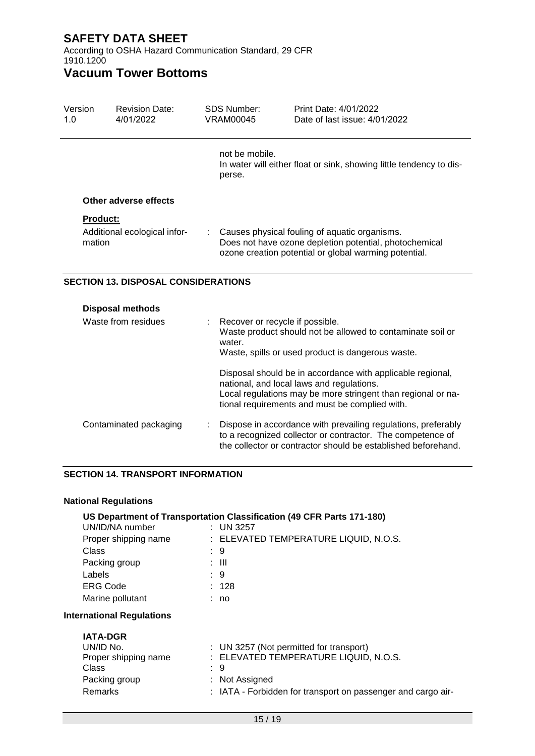According to OSHA Hazard Communication Standard, 29 CFR 1910.1200

# **Vacuum Tower Bottoms**

| Version<br>1.0      | <b>Revision Date:</b><br>4/01/2022         | <b>SDS Number:</b><br><b>VRAM00045</b>                                                          | Print Date: 4/01/2022<br>Date of last issue: 4/01/2022                                                                                                                                                                                                                                                                         |  |  |
|---------------------|--------------------------------------------|-------------------------------------------------------------------------------------------------|--------------------------------------------------------------------------------------------------------------------------------------------------------------------------------------------------------------------------------------------------------------------------------------------------------------------------------|--|--|
|                     |                                            | not be mobile.<br>In water will either float or sink, showing little tendency to dis-<br>perse. |                                                                                                                                                                                                                                                                                                                                |  |  |
|                     | Other adverse effects                      |                                                                                                 |                                                                                                                                                                                                                                                                                                                                |  |  |
| <b>Product:</b>     |                                            |                                                                                                 |                                                                                                                                                                                                                                                                                                                                |  |  |
| mation              | Additional ecological infor-               |                                                                                                 | Causes physical fouling of aquatic organisms.<br>Does not have ozone depletion potential, photochemical<br>ozone creation potential or global warming potential.                                                                                                                                                               |  |  |
|                     | <b>SECTION 13. DISPOSAL CONSIDERATIONS</b> |                                                                                                 |                                                                                                                                                                                                                                                                                                                                |  |  |
|                     | <b>Disposal methods</b>                    |                                                                                                 |                                                                                                                                                                                                                                                                                                                                |  |  |
| Waste from residues |                                            | water.                                                                                          | Recover or recycle if possible.<br>Waste product should not be allowed to contaminate soil or<br>Waste, spills or used product is dangerous waste.<br>Disposal should be in accordance with applicable regional,<br>national, and local laws and regulations.<br>Local requisitions may be more stringent than regional or na- |  |  |

Local regulations may be more stringent than regional or national requirements and must be complied with.

| Contaminated packaging | Dispose in accordance with prevailing regulations, preferably |
|------------------------|---------------------------------------------------------------|
|                        | to a recognized collector or contractor. The competence of    |
|                        | the collector or contractor should be established beforehand. |

#### **SECTION 14. TRANSPORT INFORMATION**

#### **National Regulations**

### **US Department of Transportation Classification (49 CFR Parts 171-180)**

| UN/ID/NA number      | $:$ UN 3257                           |
|----------------------|---------------------------------------|
| Proper shipping name | : ELEVATED TEMPERATURE LIQUID, N.O.S. |
| Class                | : 9                                   |
| Packing group        | : III                                 |
| Labels               | : 9                                   |
| <b>ERG Code</b>      | : 128                                 |
| Marine pollutant     | : no                                  |
|                      |                                       |

### **International Regulations**

| <b>IATA-DGR</b>      |                                                              |
|----------------------|--------------------------------------------------------------|
| UN/ID No.            | : UN 3257 (Not permitted for transport)                      |
| Proper shipping name | : ELEVATED TEMPERATURE LIQUID, N.O.S.                        |
| Class                | : 9                                                          |
| Packing group        | : Not Assigned                                               |
| Remarks              | : IATA - Forbidden for transport on passenger and cargo air- |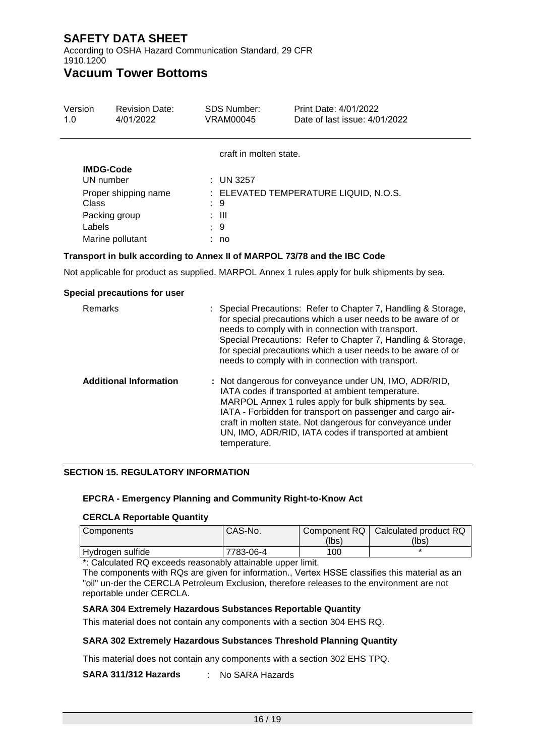According to OSHA Hazard Communication Standard, 29 CFR 1910.1200

# **Vacuum Tower Bottoms**

| Version<br>1.0 | <b>Revision Date:</b><br>4/01/2022 | <b>SDS Number:</b><br>VRAM00045 | Print Date: 4/01/2022<br>Date of last issue: 4/01/2022 |
|----------------|------------------------------------|---------------------------------|--------------------------------------------------------|
|                |                                    | craft in molten state.          |                                                        |
| UN number      | <b>IMDG-Code</b>                   | $\therefore$ UN 3257            |                                                        |
| Class          | Proper shipping name               | : 9                             | : ELEVATED TEMPERATURE LIQUID, N.O.S.                  |
|                | Packing group                      | : III                           |                                                        |
| Labels         |                                    | : 9                             |                                                        |
|                | Marine pollutant                   | no                              |                                                        |

### **Transport in bulk according to Annex II of MARPOL 73/78 and the IBC Code**

Not applicable for product as supplied. MARPOL Annex 1 rules apply for bulk shipments by sea.

#### **Special precautions for user**

| <b>Remarks</b>                | : Special Precautions: Refer to Chapter 7, Handling & Storage,<br>for special precautions which a user needs to be aware of or<br>needs to comply with in connection with transport.<br>Special Precautions: Refer to Chapter 7, Handling & Storage,<br>for special precautions which a user needs to be aware of or<br>needs to comply with in connection with transport. |
|-------------------------------|----------------------------------------------------------------------------------------------------------------------------------------------------------------------------------------------------------------------------------------------------------------------------------------------------------------------------------------------------------------------------|
| <b>Additional Information</b> | : Not dangerous for conveyance under UN, IMO, ADR/RID,<br>IATA codes if transported at ambient temperature.<br>MARPOL Annex 1 rules apply for bulk shipments by sea.<br>IATA - Forbidden for transport on passenger and cargo air-<br>craft in molten state. Not dangerous for conveyance under<br>UN, IMO, ADR/RID, IATA codes if transported at ambient<br>temperature.  |

#### **SECTION 15. REGULATORY INFORMATION**

#### **EPCRA - Emergency Planning and Community Right-to-Know Act**

### **CERCLA Reportable Quantity**

| Components       | CAS-No.   |       | Component RQ   Calculated product RQ |
|------------------|-----------|-------|--------------------------------------|
|                  |           | (lbs) | (Ibs)                                |
| Hydrogen sulfide | 7783-06-4 | 100   |                                      |

\*: Calculated RQ exceeds reasonably attainable upper limit.

The components with RQs are given for information., Vertex HSSE classifies this material as an "oil" un-der the CERCLA Petroleum Exclusion, therefore releases to the environment are not reportable under CERCLA.

#### **SARA 304 Extremely Hazardous Substances Reportable Quantity**

This material does not contain any components with a section 304 EHS RQ.

#### **SARA 302 Extremely Hazardous Substances Threshold Planning Quantity**

This material does not contain any components with a section 302 EHS TPQ.

**SARA 311/312 Hazards** : No SARA Hazards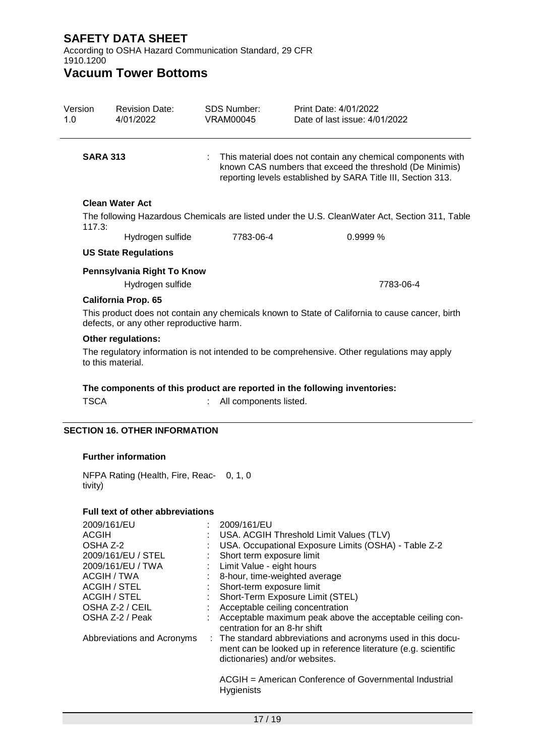According to OSHA Hazard Communication Standard, 29 CFR 1910.1200

# **Vacuum Tower Bottoms**

| Version<br>1.0 | <b>Revision Date:</b><br>4/01/2022                                                                               | <b>SDS Number:</b><br><b>VRAM00045</b>                 | Print Date: 4/01/2022<br>Date of last issue: 4/01/2022                                                                                                                                  |  |  |  |
|----------------|------------------------------------------------------------------------------------------------------------------|--------------------------------------------------------|-----------------------------------------------------------------------------------------------------------------------------------------------------------------------------------------|--|--|--|
|                | <b>SARA 313</b>                                                                                                  |                                                        | This material does not contain any chemical components with<br>known CAS numbers that exceed the threshold (De Minimis)<br>reporting levels established by SARA Title III, Section 313. |  |  |  |
|                | <b>Clean Water Act</b>                                                                                           |                                                        |                                                                                                                                                                                         |  |  |  |
|                | The following Hazardous Chemicals are listed under the U.S. CleanWater Act, Section 311, Table                   |                                                        |                                                                                                                                                                                         |  |  |  |
| 117.3:         | Hydrogen sulfide                                                                                                 | 7783-06-4                                              | 0.9999 %                                                                                                                                                                                |  |  |  |
|                | <b>US State Regulations</b>                                                                                      |                                                        |                                                                                                                                                                                         |  |  |  |
|                |                                                                                                                  |                                                        |                                                                                                                                                                                         |  |  |  |
|                | Pennsylvania Right To Know<br>Hydrogen sulfide                                                                   |                                                        | 7783-06-4                                                                                                                                                                               |  |  |  |
|                | <b>California Prop. 65</b>                                                                                       |                                                        |                                                                                                                                                                                         |  |  |  |
|                | defects, or any other reproductive harm.                                                                         |                                                        | This product does not contain any chemicals known to State of California to cause cancer, birth                                                                                         |  |  |  |
|                | <b>Other regulations:</b>                                                                                        |                                                        |                                                                                                                                                                                         |  |  |  |
|                | The regulatory information is not intended to be comprehensive. Other regulations may apply<br>to this material. |                                                        |                                                                                                                                                                                         |  |  |  |
|                |                                                                                                                  |                                                        | The components of this product are reported in the following inventories:                                                                                                               |  |  |  |
| <b>TSCA</b>    |                                                                                                                  | All components listed.                                 |                                                                                                                                                                                         |  |  |  |
|                |                                                                                                                  |                                                        |                                                                                                                                                                                         |  |  |  |
|                | <b>SECTION 16. OTHER INFORMATION</b>                                                                             |                                                        |                                                                                                                                                                                         |  |  |  |
|                | <b>Further information</b>                                                                                       |                                                        |                                                                                                                                                                                         |  |  |  |
| tivity)        | NFPA Rating (Health, Fire, Reac- 0, 1, 0                                                                         |                                                        |                                                                                                                                                                                         |  |  |  |
|                | Full text of other abbreviations                                                                                 |                                                        |                                                                                                                                                                                         |  |  |  |
|                | 2009/161/EU                                                                                                      | 2009/161/EU                                            |                                                                                                                                                                                         |  |  |  |
| <b>ACGIH</b>   |                                                                                                                  |                                                        | USA. ACGIH Threshold Limit Values (TLV)                                                                                                                                                 |  |  |  |
|                | OSHA Z-2                                                                                                         |                                                        | USA. Occupational Exposure Limits (OSHA) - Table Z-2                                                                                                                                    |  |  |  |
|                | 2009/161/EU / STEL<br>2009/161/EU / TWA                                                                          | Short term exposure limit<br>Limit Value - eight hours |                                                                                                                                                                                         |  |  |  |
|                | ACGIH / TWA                                                                                                      | 8-hour, time-weighted average                          |                                                                                                                                                                                         |  |  |  |
|                | <b>ACGIH / STEL</b>                                                                                              | Short-term exposure limit                              |                                                                                                                                                                                         |  |  |  |
|                | <b>ACGIH / STEL</b>                                                                                              |                                                        | Short-Term Exposure Limit (STEL)                                                                                                                                                        |  |  |  |
|                | OSHA Z-2 / CEIL<br>OSHA Z-2 / Peak                                                                               |                                                        | Acceptable ceiling concentration<br>Acceptable maximum peak above the acceptable ceiling con-                                                                                           |  |  |  |
|                |                                                                                                                  | centration for an 8-hr shift                           |                                                                                                                                                                                         |  |  |  |
|                | Abbreviations and Acronyms                                                                                       | ÷                                                      | The standard abbreviations and acronyms used in this docu-<br>ment can be looked up in reference literature (e.g. scientific                                                            |  |  |  |

ACGIH = American Conference of Governmental Industrial Hygienists

dictionaries) and/or websites.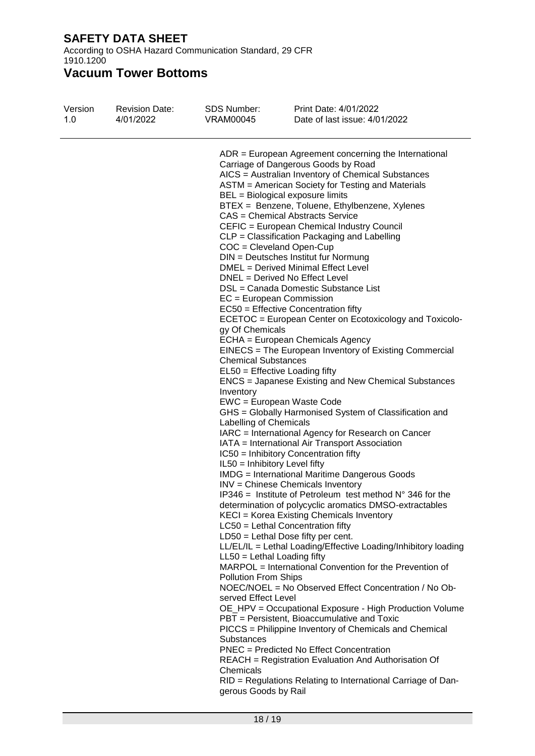According to OSHA Hazard Communication Standard, 29 CFR 1910.1200

| Version<br>1.0 | <b>Revision Date:</b><br>4/01/2022 | SDS Number:<br>VRAM00045                                                                                                               | Print Date: 4/01/2022<br>Date of last issue: 4/01/2022                                                                                                                                                                                                                                                                                                                                                                                                                                                                                                                                                                          |
|----------------|------------------------------------|----------------------------------------------------------------------------------------------------------------------------------------|---------------------------------------------------------------------------------------------------------------------------------------------------------------------------------------------------------------------------------------------------------------------------------------------------------------------------------------------------------------------------------------------------------------------------------------------------------------------------------------------------------------------------------------------------------------------------------------------------------------------------------|
|                |                                    |                                                                                                                                        | ADR = European Agreement concerning the International<br>Carriage of Dangerous Goods by Road<br>AICS = Australian Inventory of Chemical Substances<br>ASTM = American Society for Testing and Materials<br>BEL = Biological exposure limits<br>BTEX = Benzene, Toluene, Ethylbenzene, Xylenes<br><b>CAS = Chemical Abstracts Service</b><br>CEFIC = European Chemical Industry Council<br>CLP = Classification Packaging and Labelling<br>$COC = C level$ and Open-Cup<br>DIN = Deutsches Institut fur Normung<br>DMEL = Derived Minimal Effect Level<br>DNEL = Derived No Effect Level<br>DSL = Canada Domestic Substance List |
|                |                                    | gy Of Chemicals<br><b>Chemical Substances</b><br>Inventory                                                                             | $EC = European Commission$<br>EC50 = Effective Concentration fifty<br>ECETOC = European Center on Ecotoxicology and Toxicolo-<br>ECHA = European Chemicals Agency<br>EINECS = The European Inventory of Existing Commercial<br>$EL50 = E$ fective Loading fifty<br><b>ENCS</b> = Japanese Existing and New Chemical Substances                                                                                                                                                                                                                                                                                                  |
|                |                                    | Labelling of Chemicals<br>IL50 = Inhibitory Level fifty                                                                                | EWC = European Waste Code<br>GHS = Globally Harmonised System of Classification and<br>IARC = International Agency for Research on Cancer<br>IATA = International Air Transport Association<br>IC50 = Inhibitory Concentration fifty<br><b>IMDG</b> = International Maritime Dangerous Goods<br><b>INV</b> = Chinese Chemicals Inventory<br>IP346 = Institute of Petroleum test method $N^{\circ}$ 346 for the<br>determination of polycyclic aromatics DMSO-extractables<br>KECI = Korea Existing Chemicals Inventory                                                                                                          |
|                |                                    | $LL50 = Lethal$ Loading fifty<br><b>Pollution From Ships</b><br>served Effect Level<br>Substances<br>Chemicals<br>gerous Goods by Rail | $LC50$ = Lethal Concentration fifty<br>$LD50 = Lethal Does fifty per cent.$<br>LL/EL/IL = Lethal Loading/Effective Loading/Inhibitory loading<br>MARPOL = International Convention for the Prevention of<br>NOEC/NOEL = No Observed Effect Concentration / No Ob-<br>OE_HPV = Occupational Exposure - High Production Volume<br>PBT = Persistent, Bioaccumulative and Toxic<br>PICCS = Philippine Inventory of Chemicals and Chemical<br>PNEC = Predicted No Effect Concentration<br><b>REACH</b> = Registration Evaluation And Authorisation Of<br>RID = Regulations Relating to International Carriage of Dan-                |